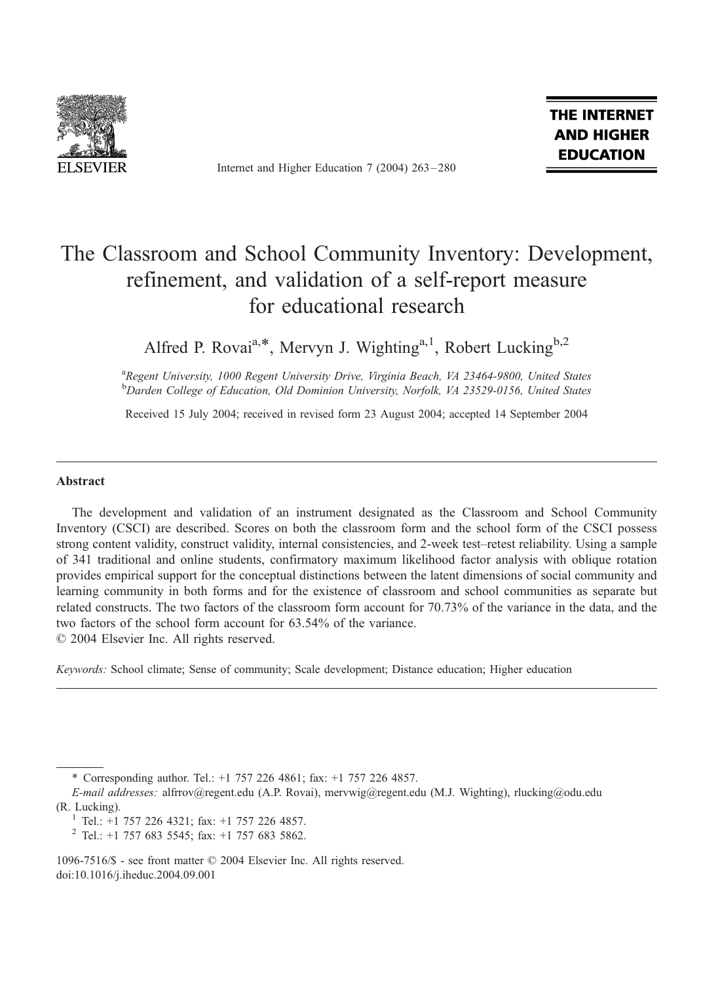

Internet and Higher Education 7 (2004) 263 – 280

THE INTERNET **AND HIGHER EDUCATION** 

# The Classroom and School Community Inventory: Development, refinement, and validation of a self-report measure for educational research

Alfred P. Rovai<sup>a,\*</sup>, Mervyn J. Wighting<sup>a,1</sup>, Robert Lucking<sup>b,2</sup>

<sup>a</sup>Regent University, 1000 Regent University Drive, Virginia Beach, VA 23464-9800, United States <sup>b</sup>Darden College of Education, Old Dominion University, Norfolk, VA 23529-0156, United States

Received 15 July 2004; received in revised form 23 August 2004; accepted 14 September 2004

#### Abstract

The development and validation of an instrument designated as the Classroom and School Community Inventory (CSCI) are described. Scores on both the classroom form and the school form of the CSCI possess strong content validity, construct validity, internal consistencies, and 2-week test–retest reliability. Using a sample of 341 traditional and online students, confirmatory maximum likelihood factor analysis with oblique rotation provides empirical support for the conceptual distinctions between the latent dimensions of social community and learning community in both forms and for the existence of classroom and school communities as separate but related constructs. The two factors of the classroom form account for 70.73% of the variance in the data, and the two factors of the school form account for 63.54% of the variance.

 $© 2004 Elsevier Inc. All rights reserved.$ 

Keywords: School climate; Sense of community; Scale development; Distance education; Higher education

\* Corresponding author. Tel.: +1 757 226 4861; fax: +1 757 226 4857.

E-mail addresses: alfrrov@regent.edu (A.P. Rovai), mervwig@regent.edu (M.J. Wighting), rlucking@odu.edu (R. Lucking).<br><sup>1</sup> Tel.: +1 757 226 4321; fax: +1 757 226 4857.<br><sup>2</sup> Tel.: +1 757 683 5545; fax: +1 757 683 5862.

- 
- 

1096-7516/\$ - see front matter © 2004 Elsevier Inc. All rights reserved. doi:10.1016/j.iheduc.2004.09.001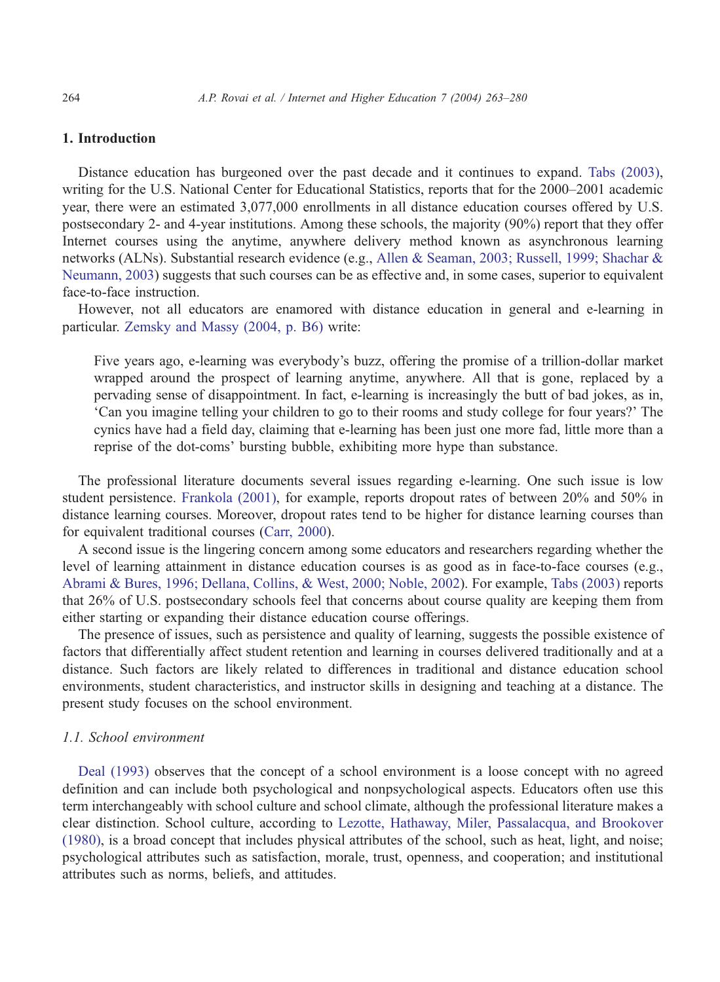# 1. Introduction

Distance education has burgeoned over the past decade and it continues to expand. [Tabs \(2003\),](#page-17-0) writing for the U.S. National Center for Educational Statistics, reports that for the 2000–2001 academic year, there were an estimated 3,077,000 enrollments in all distance education courses offered by U.S. postsecondary 2- and 4-year institutions. Among these schools, the majority (90%) report that they offer Internet courses using the anytime, anywhere delivery method known as asynchronous learning networks (ALNs). Substantial research evidence (e.g., [Allen & Seaman, 2003; Russell, 1999; Shachar &](#page-16-0) Neumann, 2003) suggests that such courses can be as effective and, in some cases, superior to equivalent face-to-face instruction.

However, not all educators are enamored with distance education in general and e-learning in particular. [Zemsky and Massy \(2004, p. B6\)](#page-17-0) write:

Five years ago, e-learning was everybody's buzz, offering the promise of a trillion-dollar market wrapped around the prospect of learning anytime, anywhere. All that is gone, replaced by a pervading sense of disappointment. In fact, e-learning is increasingly the butt of bad jokes, as in, Can you imagine telling your children to go to their rooms and study college for four years? The cynics have had a field day, claiming that e-learning has been just one more fad, little more than a reprise of the dot-coms' bursting bubble, exhibiting more hype than substance.

The professional literature documents several issues regarding e-learning. One such issue is low student persistence. [Frankola \(2001\),](#page-16-0) for example, reports dropout rates of between 20% and 50% in distance learning courses. Moreover, dropout rates tend to be higher for distance learning courses than for equivalent traditional courses ([Carr, 2000\)](#page-16-0).

A second issue is the lingering concern among some educators and researchers regarding whether the level of learning attainment in distance education courses is as good as in face-to-face courses (e.g., [Abrami & Bures, 1996; Dellana, Collins, & West, 2000; Noble, 2002\)](#page-15-0). For example, [Tabs \(2003\)](#page-17-0) reports that 26% of U.S. postsecondary schools feel that concerns about course quality are keeping them from either starting or expanding their distance education course offerings.

The presence of issues, such as persistence and quality of learning, suggests the possible existence of factors that differentially affect student retention and learning in courses delivered traditionally and at a distance. Such factors are likely related to differences in traditional and distance education school environments, student characteristics, and instructor skills in designing and teaching at a distance. The present study focuses on the school environment.

### 1.1. School environment

[Deal \(1993\)](#page-16-0) observes that the concept of a school environment is a loose concept with no agreed definition and can include both psychological and nonpsychological aspects. Educators often use this term interchangeably with school culture and school climate, although the professional literature makes a clear distinction. School culture, according to [Lezotte, Hathaway, Miler, Passalacqua, and Brookover](#page-16-0) (1980), is a broad concept that includes physical attributes of the school, such as heat, light, and noise; psychological attributes such as satisfaction, morale, trust, openness, and cooperation; and institutional attributes such as norms, beliefs, and attitudes.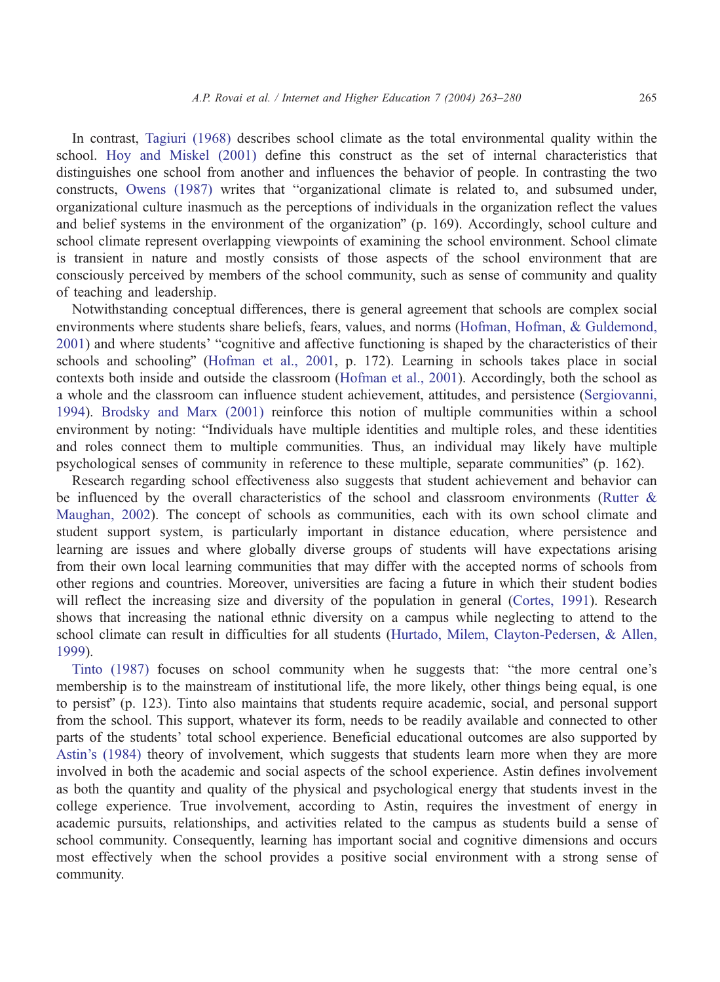In contrast, [Tagiuri \(1968\)](#page-17-0) describes school climate as the total environmental quality within the school. [Hoy and Miskel \(2001\)](#page-16-0) define this construct as the set of internal characteristics that distinguishes one school from another and influences the behavior of people. In contrasting the two constructs, [Owens \(1987\)](#page-16-0) writes that "organizational climate is related to, and subsumed under, organizational culture inasmuch as the perceptions of individuals in the organization reflect the values and belief systems in the environment of the organization"  $(p. 169)$ . Accordingly, school culture and school climate represent overlapping viewpoints of examining the school environment. School climate is transient in nature and mostly consists of those aspects of the school environment that are consciously perceived by members of the school community, such as sense of community and quality of teaching and leadership.

Notwithstanding conceptual differences, there is general agreement that schools are complex social environments where students share beliefs, fears, values, and norms ([Hofman, Hofman, & Guldemond,](#page-16-0) 2001) and where students' "cognitive and affective functioning is shaped by the characteristics of their schools and schooling" ([Hofman et al., 2001,](#page-16-0) p. 172). Learning in schools takes place in social contexts both inside and outside the classroom ([Hofman et al., 2001\)](#page-16-0). Accordingly, both the school as a whole and the classroom can influence student achievement, attitudes, and persistence ([Sergiovanni,](#page-17-0) 1994). [Brodsky and Marx \(2001\)](#page-16-0) reinforce this notion of multiple communities within a school environment by noting: "Individuals have multiple identities and multiple roles, and these identities and roles connect them to multiple communities. Thus, an individual may likely have multiple psychological senses of community in reference to these multiple, separate communities"  $(p. 162)$ .

Research regarding school effectiveness also suggests that student achievement and behavior can be influenced by the overall characteristics of the school and classroom environments ([Rutter &](#page-17-0) Maughan, 2002). The concept of schools as communities, each with its own school climate and student support system, is particularly important in distance education, where persistence and learning are issues and where globally diverse groups of students will have expectations arising from their own local learning communities that may differ with the accepted norms of schools from other regions and countries. Moreover, universities are facing a future in which their student bodies will reflect the increasing size and diversity of the population in general ([Cortes, 1991\)](#page-16-0). Research shows that increasing the national ethnic diversity on a campus while neglecting to attend to the school climate can result in difficulties for all students ([Hurtado, Milem, Clayton-Pedersen, & Allen,](#page-16-0) 1999).

[Tinto \(1987\)](#page-17-0) focuses on school community when he suggests that: "the more central one's membership is to the mainstream of institutional life, the more likely, other things being equal, is one to persist" (p. 123). Tinto also maintains that students require academic, social, and personal support from the school. This support, whatever its form, needs to be readily available and connected to other parts of the students' total school experience. Beneficial educational outcomes are also supported by [Astin's \(1984\)](#page-16-0) theory of involvement, which suggests that students learn more when they are more involved in both the academic and social aspects of the school experience. Astin defines involvement as both the quantity and quality of the physical and psychological energy that students invest in the college experience. True involvement, according to Astin, requires the investment of energy in academic pursuits, relationships, and activities related to the campus as students build a sense of school community. Consequently, learning has important social and cognitive dimensions and occurs most effectively when the school provides a positive social environment with a strong sense of community.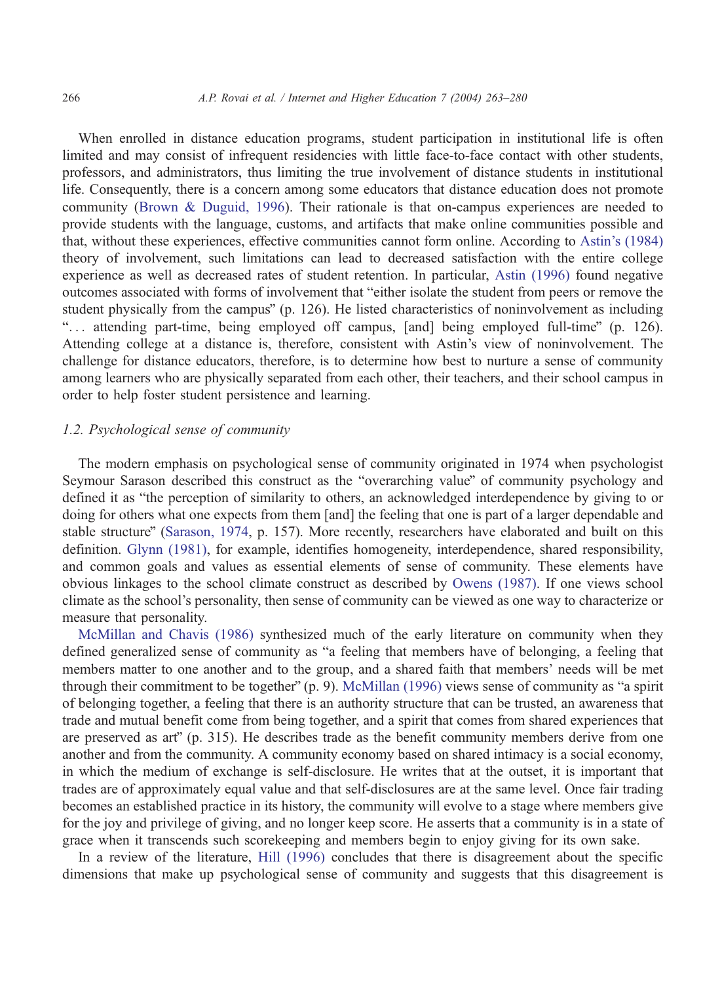When enrolled in distance education programs, student participation in institutional life is often limited and may consist of infrequent residencies with little face-to-face contact with other students, professors, and administrators, thus limiting the true involvement of distance students in institutional life. Consequently, there is a concern among some educators that distance education does not promote community [\(Brown & Duguid, 1996\)](#page-16-0). Their rationale is that on-campus experiences are needed to provide students with the language, customs, and artifacts that make online communities possible and that, without these experiences, effective communities cannot form online. According to [Astin's \(1984\)](#page-16-0) theory of involvement, such limitations can lead to decreased satisfaction with the entire college experience as well as decreased rates of student retention. In particular, [Astin \(1996\)](#page-16-0) found negative outcomes associated with forms of involvement that "either isolate the student from peers or remove the student physically from the campus" (p. 126). He listed characteristics of noninvolvement as including "... attending part-time, being employed off campus, [and] being employed full-time" (p. 126). Attending college at a distance is, therefore, consistent with Astin's view of noninvolvement. The challenge for distance educators, therefore, is to determine how best to nurture a sense of community among learners who are physically separated from each other, their teachers, and their school campus in order to help foster student persistence and learning.

# 1.2. Psychological sense of community

The modern emphasis on psychological sense of community originated in 1974 when psychologist Seymour Sarason described this construct as the "overarching value" of community psychology and defined it as "the perception of similarity to others, an acknowledged interdependence by giving to or doing for others what one expects from them [and] the feeling that one is part of a larger dependable and stable structure" ([Sarason, 1974,](#page-17-0) p. 157). More recently, researchers have elaborated and built on this definition. [Glynn \(1981\),](#page-16-0) for example, identifies homogeneity, interdependence, shared responsibility, and common goals and values as essential elements of sense of community. These elements have obvious linkages to the school climate construct as described by [Owens \(1987\).](#page-16-0) If one views school climate as the school's personality, then sense of community can be viewed as one way to characterize or measure that personality.

[McMillan and Chavis \(1986\)](#page-16-0) synthesized much of the early literature on community when they defined generalized sense of community as "a feeling that members have of belonging, a feeling that members matter to one another and to the group, and a shared faith that members' needs will be met through their commitment to be together"  $(p. 9)$ . [McMillan \(1996\)](#page-16-0) views sense of community as "a spirit of belonging together, a feeling that there is an authority structure that can be trusted, an awareness that trade and mutual benefit come from being together, and a spirit that comes from shared experiences that are preserved as art"  $(p. 315)$ . He describes trade as the benefit community members derive from one another and from the community. A community economy based on shared intimacy is a social economy, in which the medium of exchange is self-disclosure. He writes that at the outset, it is important that trades are of approximately equal value and that self-disclosures are at the same level. Once fair trading becomes an established practice in its history, the community will evolve to a stage where members give for the joy and privilege of giving, and no longer keep score. He asserts that a community is in a state of grace when it transcends such scorekeeping and members begin to enjoy giving for its own sake.

In a review of the literature, [Hill \(1996\)](#page-16-0) concludes that there is disagreement about the specific dimensions that make up psychological sense of community and suggests that this disagreement is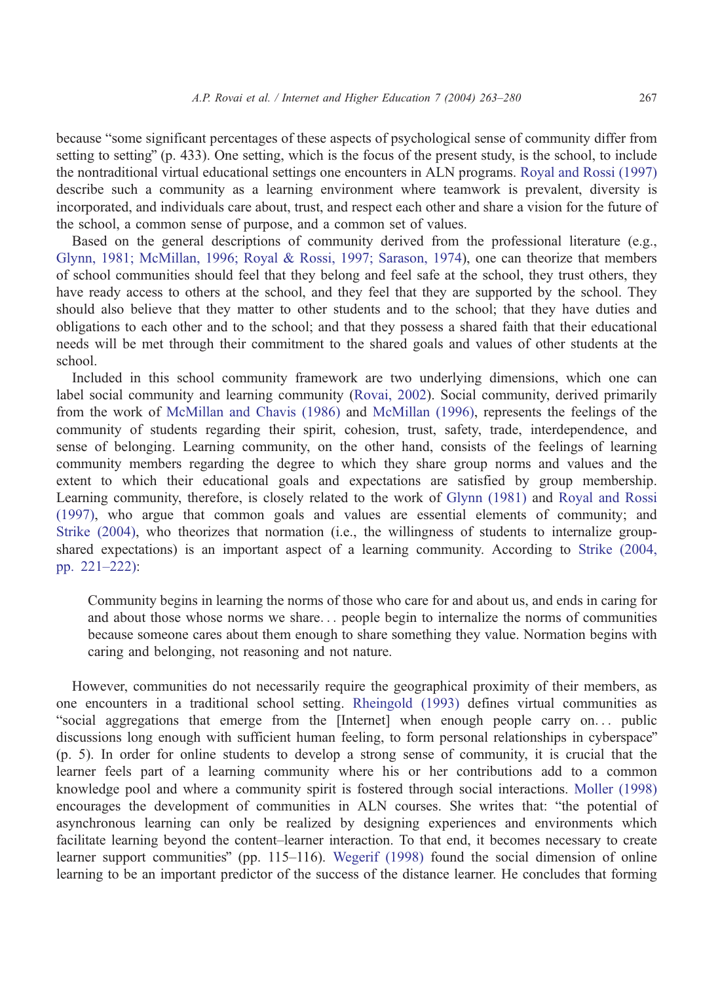because "some significant percentages of these aspects of psychological sense of community differ from setting to setting" (p.  $433$ ). One setting, which is the focus of the present study, is the school, to include the nontraditional virtual educational settings one encounters in ALN programs. [Royal and Rossi \(1997\)](#page-17-0) describe such a community as a learning environment where teamwork is prevalent, diversity is incorporated, and individuals care about, trust, and respect each other and share a vision for the future of the school, a common sense of purpose, and a common set of values.

Based on the general descriptions of community derived from the professional literature (e.g., [Glynn, 1981; McMillan, 1996; Royal & Rossi, 1997; Sarason, 1974\)](#page-16-0), one can theorize that members of school communities should feel that they belong and feel safe at the school, they trust others, they have ready access to others at the school, and they feel that they are supported by the school. They should also believe that they matter to other students and to the school; that they have duties and obligations to each other and to the school; and that they possess a shared faith that their educational needs will be met through their commitment to the shared goals and values of other students at the school.

Included in this school community framework are two underlying dimensions, which one can label social community and learning community ([Rovai, 2002\)](#page-16-0). Social community, derived primarily from the work of [McMillan and Chavis \(1986\)](#page-16-0) and [McMillan \(1996\),](#page-16-0) represents the feelings of the community of students regarding their spirit, cohesion, trust, safety, trade, interdependence, and sense of belonging. Learning community, on the other hand, consists of the feelings of learning community members regarding the degree to which they share group norms and values and the extent to which their educational goals and expectations are satisfied by group membership. Learning community, therefore, is closely related to the work of [Glynn \(1981\)](#page-16-0) and [Royal and Rossi](#page-17-0) (1997), who argue that common goals and values are essential elements of community; and [Strike \(2004\),](#page-17-0) who theorizes that normation (i.e., the willingness of students to internalize groupshared expectations) is an important aspect of a learning community. According to [Strike \(2004,](#page-17-0) pp. 221–222):

Community begins in learning the norms of those who care for and about us, and ends in caring for and about those whose norms we share... people begin to internalize the norms of communities because someone cares about them enough to share something they value. Normation begins with caring and belonging, not reasoning and not nature.

However, communities do not necessarily require the geographical proximity of their members, as one encounters in a traditional school setting. [Rheingold \(1993\)](#page-16-0) defines virtual communities as "social aggregations that emerge from the [Internet] when enough people carry on... public discussions long enough with sufficient human feeling, to form personal relationships in cyberspace" (p. 5). In order for online students to develop a strong sense of community, it is crucial that the learner feels part of a learning community where his or her contributions add to a common knowledge pool and where a community spirit is fostered through social interactions. [Moller \(1998\)](#page-16-0) encourages the development of communities in ALN courses. She writes that: "the potential of asynchronous learning can only be realized by designing experiences and environments which facilitate learning beyond the content–learner interaction. To that end, it becomes necessary to create learner support communities" (pp. 115–116). [Wegerif \(1998\)](#page-17-0) found the social dimension of online learning to be an important predictor of the success of the distance learner. He concludes that forming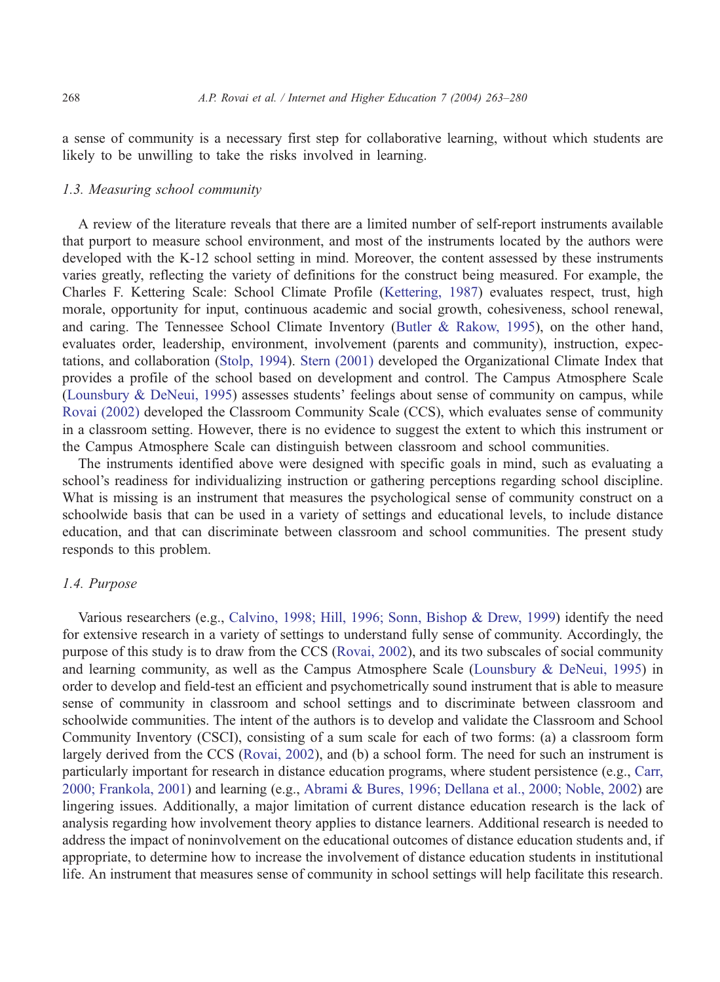a sense of community is a necessary first step for collaborative learning, without which students are likely to be unwilling to take the risks involved in learning.

## 1.3. Measuring school community

A review of the literature reveals that there are a limited number of self-report instruments available that purport to measure school environment, and most of the instruments located by the authors were developed with the K-12 school setting in mind. Moreover, the content assessed by these instruments varies greatly, reflecting the variety of definitions for the construct being measured. For example, the Charles F. Kettering Scale: School Climate Profile ([Kettering, 1987\)](#page-16-0) evaluates respect, trust, high morale, opportunity for input, continuous academic and social growth, cohesiveness, school renewal, and caring. The Tennessee School Climate Inventory ([Butler & Rakow, 1995\)](#page-16-0), on the other hand, evaluates order, leadership, environment, involvement (parents and community), instruction, expectations, and collaboration ([Stolp, 1994\)](#page-17-0). [Stern \(2001\)](#page-17-0) developed the Organizational Climate Index that provides a profile of the school based on development and control. The Campus Atmosphere Scale ([Lounsbury & DeNeui, 1995\)](#page-16-0) assesses students' feelings about sense of community on campus, while [Rovai \(2002\)](#page-16-0) developed the Classroom Community Scale (CCS), which evaluates sense of community in a classroom setting. However, there is no evidence to suggest the extent to which this instrument or the Campus Atmosphere Scale can distinguish between classroom and school communities.

The instruments identified above were designed with specific goals in mind, such as evaluating a school's readiness for individualizing instruction or gathering perceptions regarding school discipline. What is missing is an instrument that measures the psychological sense of community construct on a schoolwide basis that can be used in a variety of settings and educational levels, to include distance education, and that can discriminate between classroom and school communities. The present study responds to this problem.

#### 1.4. Purpose

Various researchers (e.g., [Calvino, 1998; Hill, 1996; Sonn, Bishop & Drew, 1999\)](#page-16-0) identify the need for extensive research in a variety of settings to understand fully sense of community. Accordingly, the purpose of this study is to draw from the CCS ([Rovai, 2002\)](#page-16-0), and its two subscales of social community and learning community, as well as the Campus Atmosphere Scale ([Lounsbury & DeNeui, 1995\)](#page-16-0) in order to develop and field-test an efficient and psychometrically sound instrument that is able to measure sense of community in classroom and school settings and to discriminate between classroom and schoolwide communities. The intent of the authors is to develop and validate the Classroom and School Community Inventory (CSCI), consisting of a sum scale for each of two forms: (a) a classroom form largely derived from the CCS ([Rovai, 2002\)](#page-16-0), and (b) a school form. The need for such an instrument is particularly important for research in distance education programs, where student persistence (e.g., [Carr,](#page-16-0) 2000; Frankola, 2001) and learning (e.g., [Abrami & Bures, 1996; Dellana et al., 2000; Noble, 2002\)](#page-15-0) are lingering issues. Additionally, a major limitation of current distance education research is the lack of analysis regarding how involvement theory applies to distance learners. Additional research is needed to address the impact of noninvolvement on the educational outcomes of distance education students and, if appropriate, to determine how to increase the involvement of distance education students in institutional life. An instrument that measures sense of community in school settings will help facilitate this research.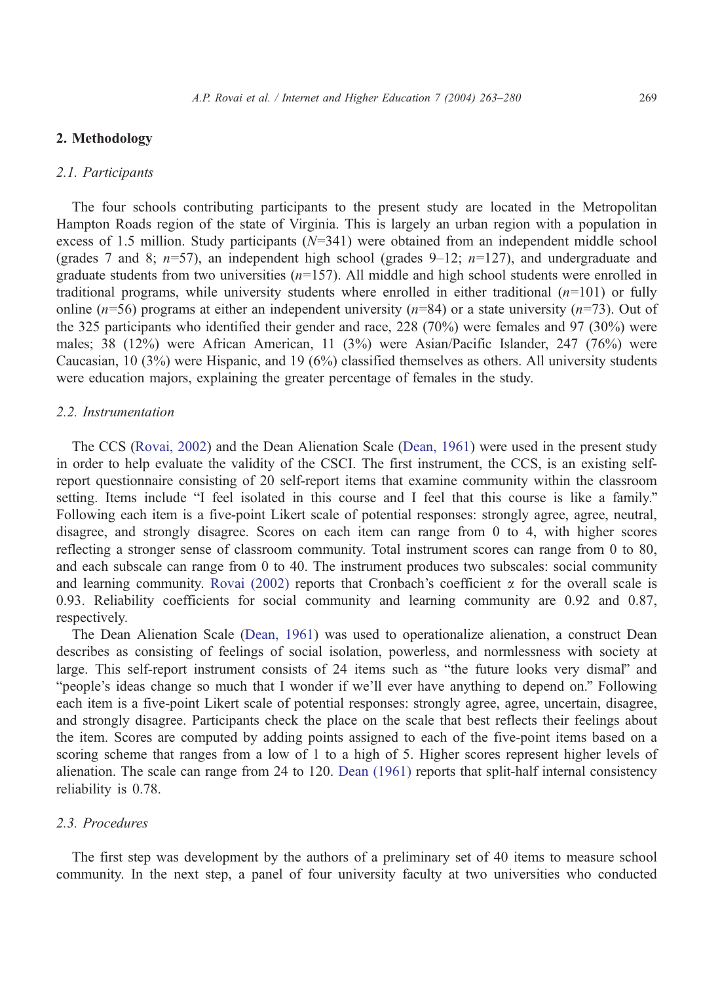## 2. Methodology

#### 2.1. Participants

The four schools contributing participants to the present study are located in the Metropolitan Hampton Roads region of the state of Virginia. This is largely an urban region with a population in excess of 1.5 million. Study participants  $(N=341)$  were obtained from an independent middle school (grades 7 and 8;  $n=57$ ), an independent high school (grades 9–12;  $n=127$ ), and undergraduate and graduate students from two universities  $(n=157)$ . All middle and high school students were enrolled in traditional programs, while university students where enrolled in either traditional  $(n=101)$  or fully online ( $n=56$ ) programs at either an independent university ( $n=84$ ) or a state university ( $n=73$ ). Out of the 325 participants who identified their gender and race, 228 (70%) were females and 97 (30%) were males; 38 (12%) were African American, 11 (3%) were Asian/Pacific Islander, 247 (76%) were Caucasian, 10 (3%) were Hispanic, and 19 (6%) classified themselves as others. All university students were education majors, explaining the greater percentage of females in the study.

#### 2.2. Instrumentation

The CCS ([Rovai, 2002\)](#page-16-0) and the Dean Alienation Scale ([Dean, 1961\)](#page-16-0) were used in the present study in order to help evaluate the validity of the CSCI. The first instrument, the CCS, is an existing selfreport questionnaire consisting of 20 self-report items that examine community within the classroom setting. Items include "I feel isolated in this course and I feel that this course is like a family." Following each item is a five-point Likert scale of potential responses: strongly agree, agree, neutral, disagree, and strongly disagree. Scores on each item can range from 0 to 4, with higher scores reflecting a stronger sense of classroom community. Total instrument scores can range from 0 to 80, and each subscale can range from 0 to 40. The instrument produces two subscales: social community and learning community. [Rovai \(2002\)](#page-16-0) reports that Cronbach's coefficient  $\alpha$  for the overall scale is 0.93. Reliability coefficients for social community and learning community are 0.92 and 0.87, respectively.

The Dean Alienation Scale ([Dean, 1961\)](#page-16-0) was used to operationalize alienation, a construct Dean describes as consisting of feelings of social isolation, powerless, and normlessness with society at large. This self-report instrument consists of 24 items such as "the future looks very dismal" and "people's ideas change so much that I wonder if we'll ever have anything to depend on." Following each item is a five-point Likert scale of potential responses: strongly agree, agree, uncertain, disagree, and strongly disagree. Participants check the place on the scale that best reflects their feelings about the item. Scores are computed by adding points assigned to each of the five-point items based on a scoring scheme that ranges from a low of 1 to a high of 5. Higher scores represent higher levels of alienation. The scale can range from 24 to 120. [Dean \(1961\)](#page-16-0) reports that split-half internal consistency reliability is 0.78.

#### 2.3. Procedures

The first step was development by the authors of a preliminary set of 40 items to measure school community. In the next step, a panel of four university faculty at two universities who conducted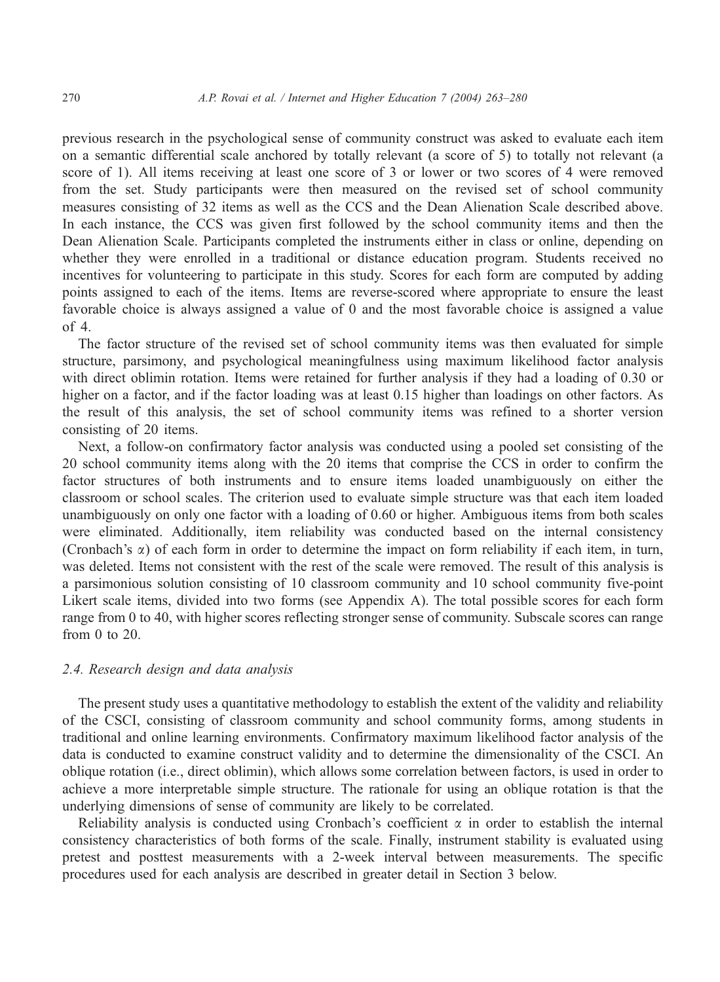previous research in the psychological sense of community construct was asked to evaluate each item on a semantic differential scale anchored by totally relevant (a score of 5) to totally not relevant (a score of 1). All items receiving at least one score of 3 or lower or two scores of 4 were removed from the set. Study participants were then measured on the revised set of school community measures consisting of 32 items as well as the CCS and the Dean Alienation Scale described above. In each instance, the CCS was given first followed by the school community items and then the Dean Alienation Scale. Participants completed the instruments either in class or online, depending on whether they were enrolled in a traditional or distance education program. Students received no incentives for volunteering to participate in this study. Scores for each form are computed by adding points assigned to each of the items. Items are reverse-scored where appropriate to ensure the least favorable choice is always assigned a value of 0 and the most favorable choice is assigned a value of 4.

The factor structure of the revised set of school community items was then evaluated for simple structure, parsimony, and psychological meaningfulness using maximum likelihood factor analysis with direct oblimin rotation. Items were retained for further analysis if they had a loading of 0.30 or higher on a factor, and if the factor loading was at least 0.15 higher than loadings on other factors. As the result of this analysis, the set of school community items was refined to a shorter version consisting of 20 items.

Next, a follow-on confirmatory factor analysis was conducted using a pooled set consisting of the 20 school community items along with the 20 items that comprise the CCS in order to confirm the factor structures of both instruments and to ensure items loaded unambiguously on either the classroom or school scales. The criterion used to evaluate simple structure was that each item loaded unambiguously on only one factor with a loading of 0.60 or higher. Ambiguous items from both scales were eliminated. Additionally, item reliability was conducted based on the internal consistency (Cronbach's a) of each form in order to determine the impact on form reliability if each item, in turn, was deleted. Items not consistent with the rest of the scale were removed. The result of this analysis is a parsimonious solution consisting of 10 classroom community and 10 school community five-point Likert scale items, divided into two forms (see Appendix A). The total possible scores for each form range from 0 to 40, with higher scores reflecting stronger sense of community. Subscale scores can range from 0 to 20.

## 2.4. Research design and data analysis

The present study uses a quantitative methodology to establish the extent of the validity and reliability of the CSCI, consisting of classroom community and school community forms, among students in traditional and online learning environments. Confirmatory maximum likelihood factor analysis of the data is conducted to examine construct validity and to determine the dimensionality of the CSCI. An oblique rotation (i.e., direct oblimin), which allows some correlation between factors, is used in order to achieve a more interpretable simple structure. The rationale for using an oblique rotation is that the underlying dimensions of sense of community are likely to be correlated.

Reliability analysis is conducted using Cronbach's coefficient  $\alpha$  in order to establish the internal consistency characteristics of both forms of the scale. Finally, instrument stability is evaluated using pretest and posttest measurements with a 2-week interval between measurements. The specific procedures used for each analysis are described in greater detail in Section 3 below.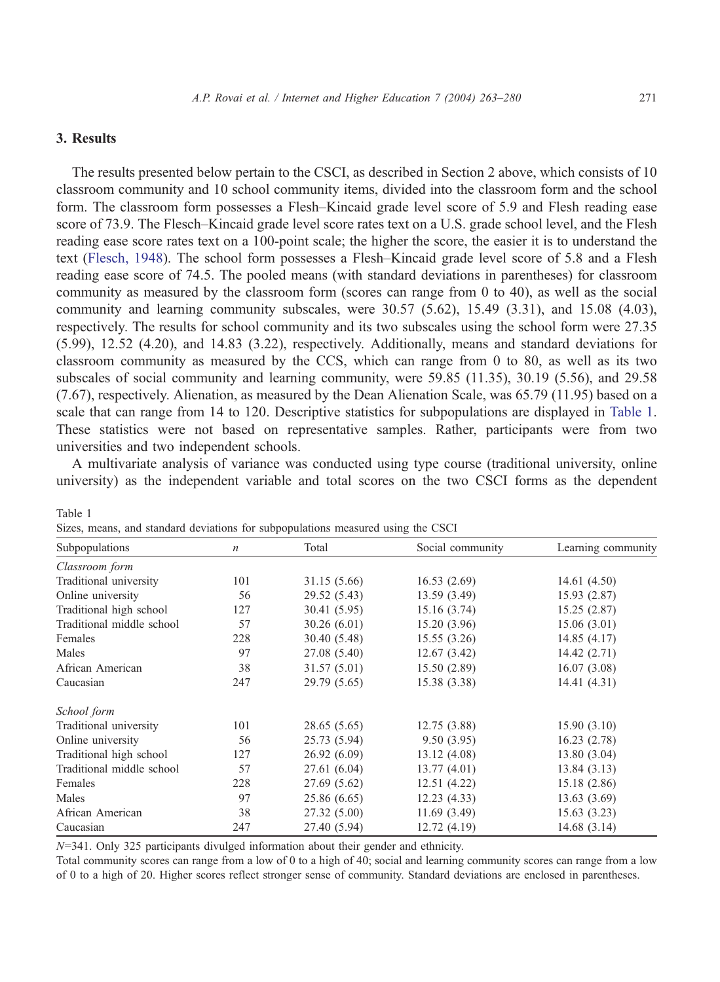# 3. Results

Table 1

The results presented below pertain to the CSCI, as described in Section 2 above, which consists of 10 classroom community and 10 school community items, divided into the classroom form and the school form. The classroom form possesses a Flesh–Kincaid grade level score of 5.9 and Flesh reading ease score of 73.9. The Flesch–Kincaid grade level score rates text on a U.S. grade school level, and the Flesh reading ease score rates text on a 100-point scale; the higher the score, the easier it is to understand the text ([Flesch, 1948\)](#page-16-0). The school form possesses a Flesh–Kincaid grade level score of 5.8 and a Flesh reading ease score of 74.5. The pooled means (with standard deviations in parentheses) for classroom community as measured by the classroom form (scores can range from 0 to 40), as well as the social community and learning community subscales, were  $30.57$  (5.62), 15.49 (3.31), and 15.08 (4.03), respectively. The results for school community and its two subscales using the school form were 27.35 (5.99), 12.52 (4.20), and 14.83 (3.22), respectively. Additionally, means and standard deviations for classroom community as measured by the CCS, which can range from 0 to 80, as well as its two subscales of social community and learning community, were 59.85 (11.35), 30.19 (5.56), and 29.58 (7.67), respectively. Alienation, as measured by the Dean Alienation Scale, was 65.79 (11.95) based on a scale that can range from 14 to 120. Descriptive statistics for subpopulations are displayed in Table 1. These statistics were not based on representative samples. Rather, participants were from two universities and two independent schools.

A multivariate analysis of variance was conducted using type course (traditional university, online university) as the independent variable and total scores on the two CSCI forms as the dependent

| Subpopulations            | $\boldsymbol{n}$ | Total        | Social community | Learning community |
|---------------------------|------------------|--------------|------------------|--------------------|
| Classroom form            |                  |              |                  |                    |
| Traditional university    | 101              | 31.15 (5.66) | 16.53(2.69)      | 14.61(4.50)        |
| Online university         | 56               | 29.52 (5.43) | 13.59 (3.49)     | 15.93(2.87)        |
| Traditional high school   | 127              | 30.41 (5.95) | 15.16(3.74)      | 15.25(2.87)        |
| Traditional middle school | 57               | 30.26(6.01)  | 15.20(3.96)      | 15.06(3.01)        |
| Females                   | 228              | 30.40 (5.48) | 15.55(3.26)      | 14.85(4.17)        |
| Males                     | 97               | 27.08 (5.40) | 12.67(3.42)      | 14.42(2.71)        |
| African American          | 38               | 31.57(5.01)  | 15.50(2.89)      | 16.07(3.08)        |
| Caucasian                 | 247              | 29.79 (5.65) | 15.38 (3.38)     | 14.41(4.31)        |
| School form               |                  |              |                  |                    |
| Traditional university    | 101              | 28.65 (5.65) | 12.75(3.88)      | 15.90(3.10)        |
| Online university         | 56               | 25.73 (5.94) | 9.50(3.95)       | 16.23(2.78)        |
| Traditional high school   | 127              | 26.92(6.09)  | 13.12(4.08)      | 13.80(3.04)        |
| Traditional middle school | 57               | 27.61 (6.04) | 13.77(4.01)      | 13.84(3.13)        |
| Females                   | 228              | 27.69 (5.62) | 12.51(4.22)      | 15.18(2.86)        |
| Males                     | 97               | 25.86 (6.65) | 12.23(4.33)      | 13.63(3.69)        |
| African American          | 38               | 27.32 (5.00) | 11.69(3.49)      | 15.63(3.23)        |
| Caucasian                 | 247              | 27.40 (5.94) | 12.72 (4.19)     | 14.68(3.14)        |

|  | Sizes, means, and standard deviations for subpopulations measured using the CSCI |  |
|--|----------------------------------------------------------------------------------|--|
|  |                                                                                  |  |

N=341. Only 325 participants divulged information about their gender and ethnicity.

Total community scores can range from a low of 0 to a high of 40; social and learning community scores can range from a low of 0 to a high of 20. Higher scores reflect stronger sense of community. Standard deviations are enclosed in parentheses.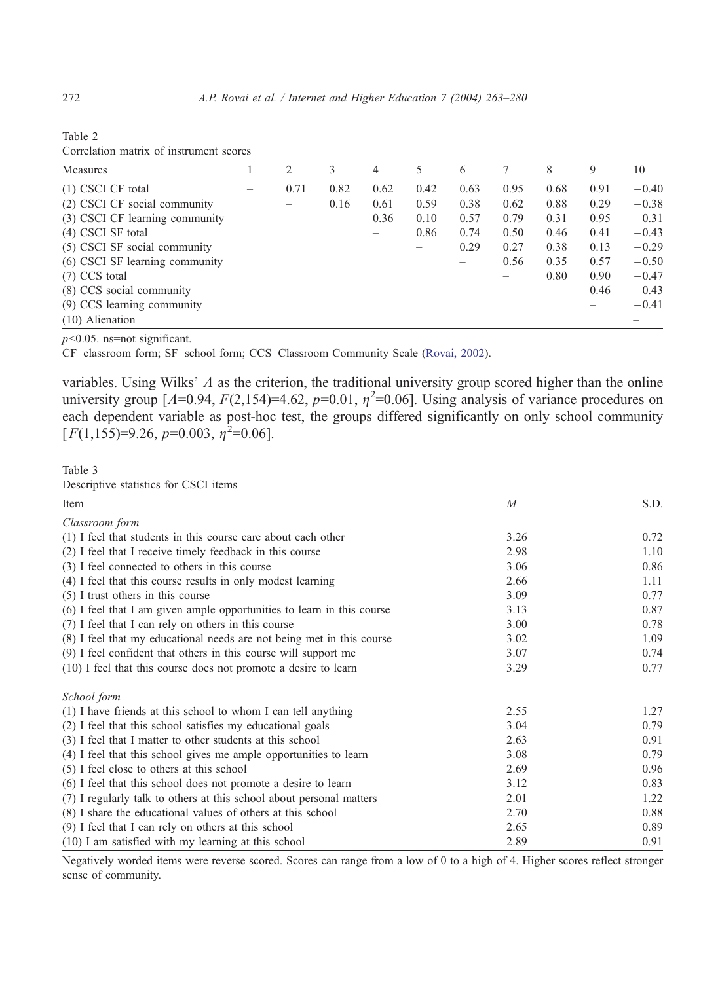<span id="page-9-0"></span>

| Table 2 |                                         |  |
|---------|-----------------------------------------|--|
|         | Correlation matrix of instrument scores |  |

| <b>Measures</b>                | 2                 | 3    | $\overline{4}$ | 5    | 6    |      | 8    | 9    | 10      |
|--------------------------------|-------------------|------|----------------|------|------|------|------|------|---------|
| $(1)$ CSCI CF total            | 0.71              | 0.82 | 0.62           | 0.42 | 0.63 | 0.95 | 0.68 | 0.91 | $-0.40$ |
| (2) CSCI CF social community   | $\qquad \qquad -$ | 0.16 | 0.61           | 0.59 | 0.38 | 0.62 | 0.88 | 0.29 | $-0.38$ |
| (3) CSCI CF learning community |                   |      | 0.36           | 0.10 | 0.57 | 0.79 | 0.31 | 0.95 | $-0.31$ |
| $(4)$ CSCI SF total            |                   |      |                | 0.86 | 0.74 | 0.50 | 0.46 | 0.41 | $-0.43$ |
| (5) CSCI SF social community   |                   |      |                |      | 0.29 | 0.27 | 0.38 | 0.13 | $-0.29$ |
| (6) CSCI SF learning community |                   |      |                |      |      | 0.56 | 0.35 | 0.57 | $-0.50$ |
| $(7)$ CCS total                |                   |      |                |      |      |      | 0.80 | 0.90 | $-0.47$ |
| (8) CCS social community       |                   |      |                |      |      |      |      | 0.46 | $-0.43$ |
| (9) CCS learning community     |                   |      |                |      |      |      |      |      | $-0.41$ |
| $(10)$ Alienation              |                   |      |                |      |      |      |      |      |         |

 $p<0.05$ . ns=not significant.

CF=classroom form; SF=school form; CCS=Classroom Community Scale ([Rovai, 2002\)](#page-16-0).

variables. Using Wilks'  $\Lambda$  as the criterion, the traditional university group scored higher than the online university group  $[A=0.94, F(2,154)=4.62, p=0.01, \eta^2=0.06]$ . Using analysis of variance procedures on each dependent variable as post-hoc test, the groups differed significantly on only school community  $[F(1,155)=9.26, p=0.003, \eta^2=0.06].$ 

#### Table 3

Descriptive statistics for CSCI items

| Item                                                                   | $\boldsymbol{M}$ | S.D. |
|------------------------------------------------------------------------|------------------|------|
| Classroom form                                                         |                  |      |
| (1) I feel that students in this course care about each other          | 3.26             | 0.72 |
| (2) I feel that I receive timely feedback in this course               | 2.98             | 1.10 |
| (3) I feel connected to others in this course                          | 3.06             | 0.86 |
| (4) I feel that this course results in only modest learning            | 2.66             | 1.11 |
| (5) I trust others in this course                                      | 3.09             | 0.77 |
| (6) I feel that I am given ample opportunities to learn in this course | 3.13             | 0.87 |
| (7) I feel that I can rely on others in this course                    | 3.00             | 0.78 |
| (8) I feel that my educational needs are not being met in this course  | 3.02             | 1.09 |
| (9) I feel confident that others in this course will support me        | 3.07             | 0.74 |
| (10) I feel that this course does not promote a desire to learn        | 3.29             | 0.77 |
| School form                                                            |                  |      |
| (1) I have friends at this school to whom I can tell anything          | 2.55             | 1.27 |
| (2) I feel that this school satisfies my educational goals             | 3.04             | 0.79 |
| (3) I feel that I matter to other students at this school              | 2.63             | 0.91 |
| (4) I feel that this school gives me ample opportunities to learn      | 3.08             | 0.79 |
| (5) I feel close to others at this school                              | 2.69             | 0.96 |
| (6) I feel that this school does not promote a desire to learn         | 3.12             | 0.83 |
| (7) I regularly talk to others at this school about personal matters   | 2.01             | 1.22 |
| (8) I share the educational values of others at this school            | 2.70             | 0.88 |
| (9) I feel that I can rely on others at this school                    | 2.65             | 0.89 |
| $(10)$ I am satisfied with my learning at this school                  | 2.89             | 0.91 |

Negatively worded items were reverse scored. Scores can range from a low of 0 to a high of 4. Higher scores reflect stronger sense of community.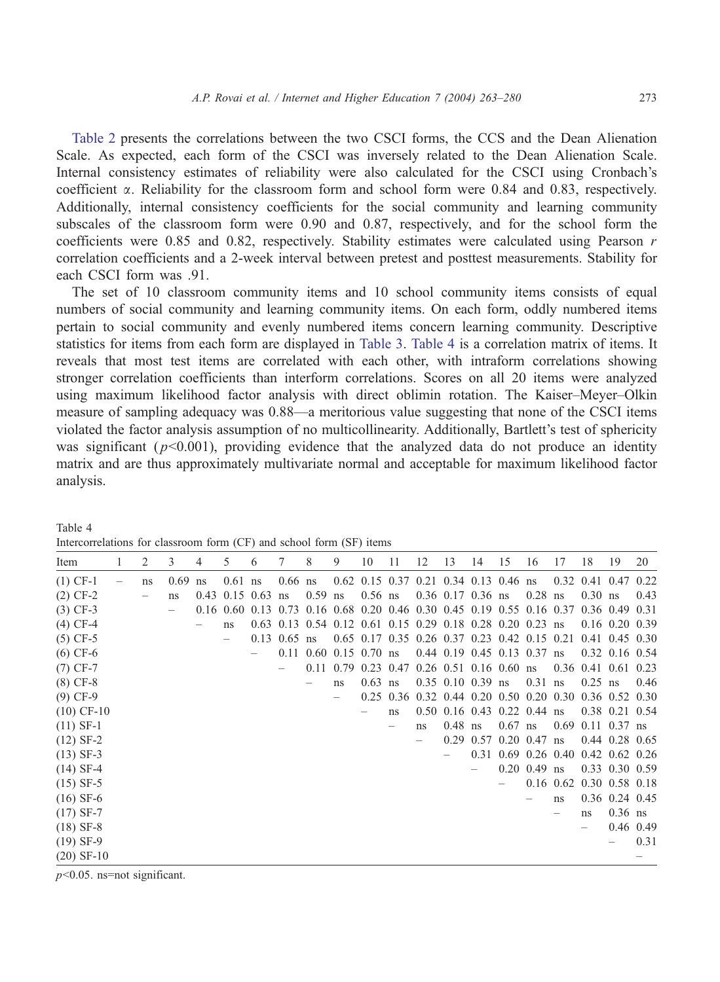[Table 2](#page-9-0) presents the correlations between the two CSCI forms, the CCS and the Dean Alienation Scale. As expected, each form of the CSCI was inversely related to the Dean Alienation Scale. Internal consistency estimates of reliability were also calculated for the CSCI using Cronbach's coefficient a. Reliability for the classroom form and school form were 0.84 and 0.83, respectively. Additionally, internal consistency coefficients for the social community and learning community subscales of the classroom form were 0.90 and 0.87, respectively, and for the school form the coefficients were 0.85 and 0.82, respectively. Stability estimates were calculated using Pearson  $r$ correlation coefficients and a 2-week interval between pretest and posttest measurements. Stability for each CSCI form was .91.

The set of 10 classroom community items and 10 school community items consists of equal numbers of social community and learning community items. On each form, oddly numbered items pertain to social community and evenly numbered items concern learning community. Descriptive statistics for items from each form are displayed in [Table 3.](#page-9-0) Table 4 is a correlation matrix of items. It reveals that most test items are correlated with each other, with intraform correlations showing stronger correlation coefficients than interform correlations. Scores on all 20 items were analyzed using maximum likelihood factor analysis with direct oblimin rotation. The Kaiser–Meyer–Olkin measure of sampling adequacy was 0.88—a meritorious value suggesting that none of the CSCI items violated the factor analysis assumption of no multicollinearity. Additionally, Bartlett's test of sphericity was significant ( $p<0.001$ ), providing evidence that the analyzed data do not produce an identity matrix and are thus approximately multivariate normal and acceptable for maximum likelihood factor analysis.

| Item         | 2  | 3    | 4  | 5                        | 6 | 7              | 8                        | 9                                                                                    | 10        | 11                       | 12 | 13                  | 14 | 15                                      | 16             | 17 | 18                                                          | 19               | 20   |
|--------------|----|------|----|--------------------------|---|----------------|--------------------------|--------------------------------------------------------------------------------------|-----------|--------------------------|----|---------------------|----|-----------------------------------------|----------------|----|-------------------------------------------------------------|------------------|------|
| $(1)$ CF-1   | ns | 0.69 | ns | $0.61$ ns                |   | $0.66$ ns      |                          |                                                                                      |           |                          |    |                     |    | $0.62$ 0.15 0.37 0.21 0.34 0.13 0.46 ns |                |    | $0.32$ 0.41 0.47                                            |                  | 0.22 |
| $(2) CF-2$   |    | ns   |    | $0.43$ 0.15 0.63         |   | ns             | $0.59$ ns                |                                                                                      | $0.56$ ns |                          |    | $0.36$ 0.17 0.36 ns |    |                                         | $0.28$ ns      |    | $0.30$ ns                                                   |                  | 0.43 |
| $(3)$ CF-3   |    |      |    |                          |   |                |                          | 0.16 0.60 0.13 0.73 0.16 0.68 0.20 0.46 0.30 0.45 0.19 0.55 0.16 0.37 0.36 0.49 0.31 |           |                          |    |                     |    |                                         |                |    |                                                             |                  |      |
| $(4) CF-4$   |    |      |    | ns                       |   |                |                          | 0.63 0.13 0.54 0.12 0.61 0.15 0.29 0.18 0.28 0.20 0.23 ns                            |           |                          |    |                     |    |                                         |                |    |                                                             | $0.16$ 0.20 0.39 |      |
| $(5)$ CF-5   |    |      |    | $\overline{\phantom{m}}$ |   | $0.13$ 0.65 ns |                          |                                                                                      |           |                          |    |                     |    |                                         |                |    | 0.65 0.17 0.35 0.26 0.37 0.23 0.42 0.15 0.21 0.41 0.45 0.30 |                  |      |
| $(6)$ CF-6   |    |      |    |                          |   |                |                          | $0.11$ $0.60$ $0.15$ $0.70$ ns                                                       |           |                          |    |                     |    | $0.44$ 0.19 0.45 0.13 0.37 ns           |                |    |                                                             | $0.32$ 0.16 0.54 |      |
| $(7)$ CF-7   |    |      |    |                          |   |                |                          | $0.11$ 0.79 0.23 0.47                                                                |           |                          |    |                     |    | $0.26$ 0.51 0.16 0.60 ns                |                |    | $0.36$ 0.41 0.61 0.23                                       |                  |      |
| $(8) CF-8$   |    |      |    |                          |   |                | $\overline{\phantom{0}}$ | ns                                                                                   | $0.63$ ns |                          |    | $0.35$ 0.10 0.39 ns |    |                                         | $0.31$ ns      |    | $0.25$ ns                                                   |                  | 0.46 |
| $(9)$ CF-9   |    |      |    |                          |   |                |                          |                                                                                      |           |                          |    |                     |    |                                         |                |    | 0.25 0.36 0.32 0.44 0.20 0.50 0.20 0.30 0.36 0.52 0.30      |                  |      |
| $(10)$ CF-10 |    |      |    |                          |   |                |                          |                                                                                      |           | ns                       |    |                     |    | $0.50$ 0.16 0.43 0.22 0.44 ns           |                |    |                                                             | $0.38$ 0.21 0.54 |      |
| $(11)$ SF-1  |    |      |    |                          |   |                |                          |                                                                                      |           | $\overline{\phantom{m}}$ | ns | $0.48$ ns           |    | $0.67$ ns                               |                |    | $0.69$ 0.11 0.37 ns                                         |                  |      |
| $(12)$ SF-2  |    |      |    |                          |   |                |                          |                                                                                      |           |                          |    |                     |    | $0.29$ 0.57 0.20 0.47 ns                |                |    |                                                             | $0.44$ 0.28 0.65 |      |
| $(13)$ SF-3  |    |      |    |                          |   |                |                          |                                                                                      |           |                          |    |                     |    |                                         |                |    | 0.31 0.69 0.26 0.40 0.42 0.62 0.26                          |                  |      |
| $(14)$ SF-4  |    |      |    |                          |   |                |                          |                                                                                      |           |                          |    |                     |    |                                         | $0.20$ 0.49 ns |    |                                                             | 0.33 0.30 0.59   |      |
| $(15)$ SF-5  |    |      |    |                          |   |                |                          |                                                                                      |           |                          |    |                     |    |                                         |                |    | 0.16 0.62 0.30 0.58 0.18                                    |                  |      |
| $(16)$ SF-6  |    |      |    |                          |   |                |                          |                                                                                      |           |                          |    |                     |    |                                         |                | ns |                                                             | $0.36$ 0.24 0.45 |      |
| $(17)$ SF-7  |    |      |    |                          |   |                |                          |                                                                                      |           |                          |    |                     |    |                                         |                |    | ns                                                          | $0.36$ ns        |      |
| $(18)$ SF-8  |    |      |    |                          |   |                |                          |                                                                                      |           |                          |    |                     |    |                                         |                |    | $\overline{\phantom{0}}$                                    | 0.46 0.49        |      |
| $(19)$ SF-9  |    |      |    |                          |   |                |                          |                                                                                      |           |                          |    |                     |    |                                         |                |    |                                                             |                  | 0.31 |
| $(20)$ SF-10 |    |      |    |                          |   |                |                          |                                                                                      |           |                          |    |                     |    |                                         |                |    |                                                             |                  |      |

Intercorrelations for classroom form (CF) and school form (SF) items

 $p<0.05$ . ns=not significant.

Table 4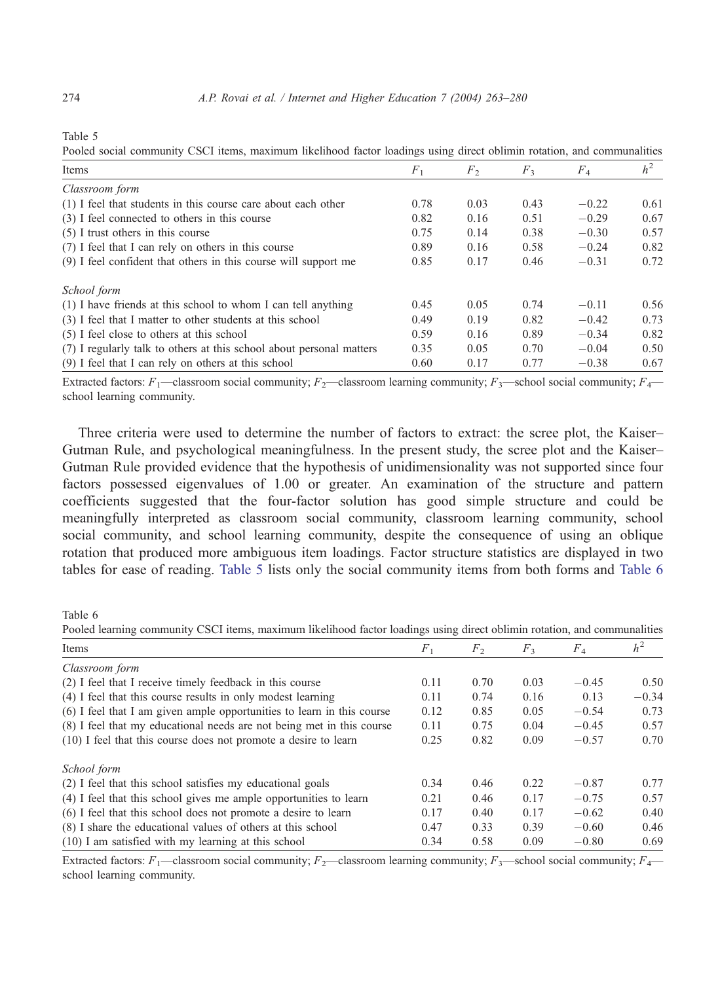Table 5

Pooled social community CSCI items, maximum likelihood factor loadings using direct oblimin rotation, and communalities

| Items                                                                | $F_1$ | F <sub>2</sub> | $F_3$ | $F_{4}$ | h <sup>2</sup> |
|----------------------------------------------------------------------|-------|----------------|-------|---------|----------------|
| Classroom form                                                       |       |                |       |         |                |
| (1) I feel that students in this course care about each other        | 0.78  | 0.03           | 0.43  | $-0.22$ | 0.61           |
| (3) I feel connected to others in this course                        | 0.82  | 0.16           | 0.51  | $-0.29$ | 0.67           |
| $(5)$ I trust others in this course                                  | 0.75  | 0.14           | 0.38  | $-0.30$ | 0.57           |
| (7) I feel that I can rely on others in this course                  | 0.89  | 0.16           | 0.58  | $-0.24$ | 0.82           |
| (9) I feel confident that others in this course will support me      | 0.85  | 0.17           | 0.46  | $-0.31$ | 0.72           |
| School form                                                          |       |                |       |         |                |
| (1) I have friends at this school to whom I can tell anything        | 0.45  | 0.05           | 0.74  | $-0.11$ | 0.56           |
| (3) I feel that I matter to other students at this school            | 0.49  | 0.19           | 0.82  | $-0.42$ | 0.73           |
| (5) I feel close to others at this school                            | 0.59  | 0.16           | 0.89  | $-0.34$ | 0.82           |
| (7) I regularly talk to others at this school about personal matters | 0.35  | 0.05           | 0.70  | $-0.04$ | 0.50           |
| (9) I feel that I can rely on others at this school                  | 0.60  | 0.17           | 0.77  | $-0.38$ | 0.67           |

Extracted factors:  $F_1$ —classroom social community;  $F_2$ —classroom learning community;  $F_3$ —school social community;  $F_4$  school learning community.

Three criteria were used to determine the number of factors to extract: the scree plot, the Kaiser– Gutman Rule, and psychological meaningfulness. In the present study, the scree plot and the Kaiser– Gutman Rule provided evidence that the hypothesis of unidimensionality was not supported since four factors possessed eigenvalues of 1.00 or greater. An examination of the structure and pattern coefficients suggested that the four-factor solution has good simple structure and could be meaningfully interpreted as classroom social community, classroom learning community, school social community, and school learning community, despite the consequence of using an oblique rotation that produced more ambiguous item loadings. Factor structure statistics are displayed in two tables for ease of reading. Table 5 lists only the social community items from both forms and Table 6

Table 6

Pooled learning community CSCI items, maximum likelihood factor loadings using direct oblimin rotation, and communalities

| Items                                                                  | F <sub>1</sub> | F <sub>2</sub> | $F_3$ | $F_4$   | h <sup>2</sup> |
|------------------------------------------------------------------------|----------------|----------------|-------|---------|----------------|
| Classroom form                                                         |                |                |       |         |                |
| (2) I feel that I receive timely feedback in this course               | 0.11           | 0.70           | 0.03  | $-0.45$ | 0.50           |
| (4) I feel that this course results in only modest learning            | 0.11           | 0.74           | 0.16  | 0.13    | $-0.34$        |
| (6) I feel that I am given ample opportunities to learn in this course | 0.12           | 0.85           | 0.05  | $-0.54$ | 0.73           |
| (8) I feel that my educational needs are not being met in this course  | 0.11           | 0.75           | 0.04  | $-0.45$ | 0.57           |
| (10) I feel that this course does not promote a desire to learn        | 0.25           | 0.82           | 0.09  | $-0.57$ | 0.70           |
| School form                                                            |                |                |       |         |                |
| (2) I feel that this school satisfies my educational goals             | 0.34           | 0.46           | 0.22  | $-0.87$ | 0.77           |
| (4) I feel that this school gives me ample opportunities to learn      | 0.21           | 0.46           | 0.17  | $-0.75$ | 0.57           |
| (6) I feel that this school does not promote a desire to learn         | 0.17           | 0.40           | 0.17  | $-0.62$ | 0.40           |
| (8) I share the educational values of others at this school            | 0.47           | 0.33           | 0.39  | $-0.60$ | 0.46           |
| $(10)$ I am satisfied with my learning at this school                  | 0.34           | 0.58           | 0.09  | $-0.80$ | 0.69           |

Extracted factors:  $F_1$ —classroom social community;  $F_2$ —classroom learning community;  $F_3$ —school social community;  $F_4$  school learning community.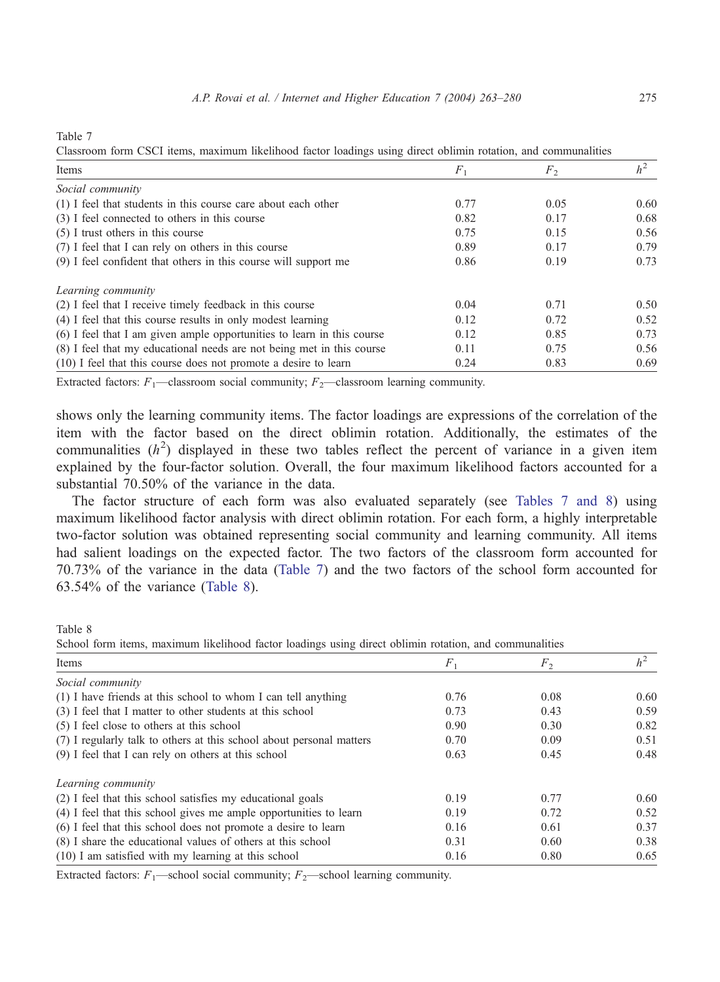Table 7

Items  $F_1$   $F_2$   $h^2$ Social community (1) I feel that students in this course care about each other  $0.77$   $0.05$   $0.60$ (3) I feel connected to others in this course  $0.82$  0.17 0.68 (5) I trust others in this course  $0.75$  0.15 0.56 (7) I feel that I can rely on others in this course 0.89 0.17 0.79 (9) I feel confident that others in this course will support me 0.86 0.19 0.73 Learning community (2) I feel that I receive timely feedback in this course 0.04 0.71 0.50 (4) I feel that this course results in only modest learning 0.12 0.72 0.52 (6) I feel that I am given ample opportunities to learn in this course 0.12 0.85 0.73 (8) I feel that my educational needs are not being met in this course 0.11 0.75 0.56 (10) I feel that this course does not promote a desire to learn 0.24 0.83 0.69

Classroom form CSCI items, maximum likelihood factor loadings using direct oblimin rotation, and communalities

Extracted factors:  $F_1$ —classroom social community;  $F_2$ —classroom learning community.

shows only the learning community items. The factor loadings are expressions of the correlation of the item with the factor based on the direct oblimin rotation. Additionally, the estimates of the communalities  $(h^2)$  displayed in these two tables reflect the percent of variance in a given item explained by the four-factor solution. Overall, the four maximum likelihood factors accounted for a substantial 70.50% of the variance in the data.

The factor structure of each form was also evaluated separately (see Tables 7 and 8) using maximum likelihood factor analysis with direct oblimin rotation. For each form, a highly interpretable two-factor solution was obtained representing social community and learning community. All items had salient loadings on the expected factor. The two factors of the classroom form accounted for 70.73% of the variance in the data (Table 7) and the two factors of the school form accounted for 63.54% of the variance (Table 8).

Table 8

School form items, maximum likelihood factor loadings using direct oblimin rotation, and communalities

| Items                                                                | $F_1$ | F <sub>2</sub> | h <sup>2</sup> |
|----------------------------------------------------------------------|-------|----------------|----------------|
| Social community                                                     |       |                |                |
| (1) I have friends at this school to whom I can tell anything        | 0.76  | 0.08           | 0.60           |
| (3) I feel that I matter to other students at this school            | 0.73  | 0.43           | 0.59           |
| (5) I feel close to others at this school                            | 0.90  | 0.30           | 0.82           |
| (7) I regularly talk to others at this school about personal matters | 0.70  | 0.09           | 0.51           |
| (9) I feel that I can rely on others at this school                  | 0.63  | 0.45           | 0.48           |
| Learning community                                                   |       |                |                |
| (2) I feel that this school satisfies my educational goals           | 0.19  | 0.77           | 0.60           |
| (4) I feel that this school gives me ample opportunities to learn    | 0.19  | 0.72           | 0.52           |
| (6) I feel that this school does not promote a desire to learn       | 0.16  | 0.61           | 0.37           |
| (8) I share the educational values of others at this school          | 0.31  | 0.60           | 0.38           |
| $(10)$ I am satisfied with my learning at this school                | 0.16  | 0.80           | 0.65           |

Extracted factors:  $F_1$ —school social community;  $F_2$ —school learning community.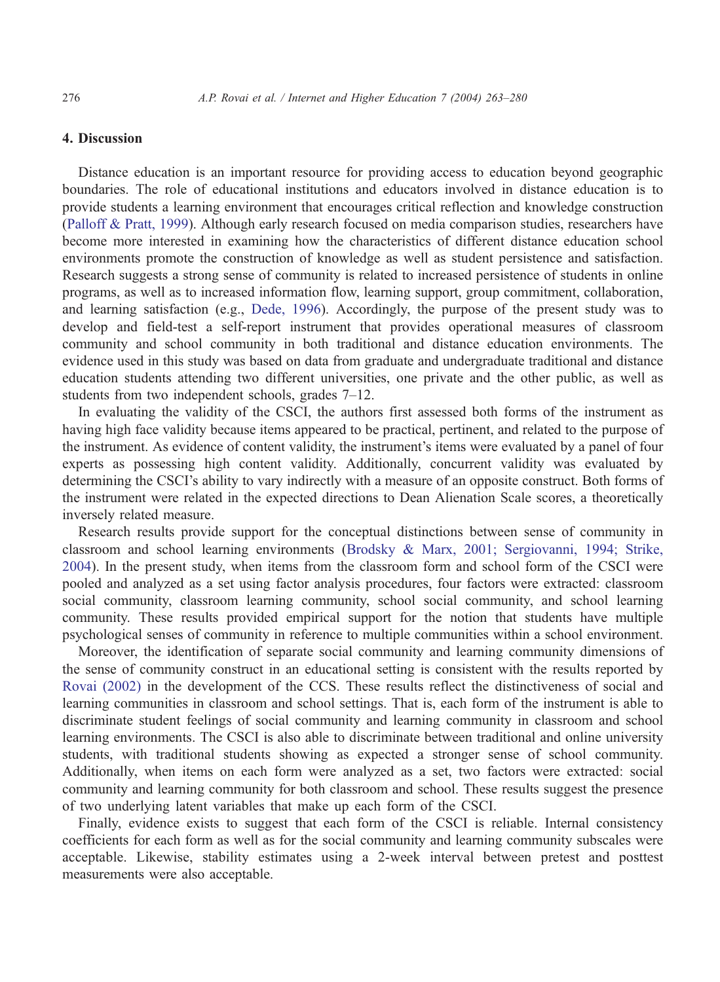## 4. Discussion

Distance education is an important resource for providing access to education beyond geographic boundaries. The role of educational institutions and educators involved in distance education is to provide students a learning environment that encourages critical reflection and knowledge construction ([Palloff & Pratt, 1999\)](#page-16-0). Although early research focused on media comparison studies, researchers have become more interested in examining how the characteristics of different distance education school environments promote the construction of knowledge as well as student persistence and satisfaction. Research suggests a strong sense of community is related to increased persistence of students in online programs, as well as to increased information flow, learning support, group commitment, collaboration, and learning satisfaction (e.g., [Dede, 1996\)](#page-16-0). Accordingly, the purpose of the present study was to develop and field-test a self-report instrument that provides operational measures of classroom community and school community in both traditional and distance education environments. The evidence used in this study was based on data from graduate and undergraduate traditional and distance education students attending two different universities, one private and the other public, as well as students from two independent schools, grades 7–12.

In evaluating the validity of the CSCI, the authors first assessed both forms of the instrument as having high face validity because items appeared to be practical, pertinent, and related to the purpose of the instrument. As evidence of content validity, the instrument's items were evaluated by a panel of four experts as possessing high content validity. Additionally, concurrent validity was evaluated by determining the CSCI's ability to vary indirectly with a measure of an opposite construct. Both forms of the instrument were related in the expected directions to Dean Alienation Scale scores, a theoretically inversely related measure.

Research results provide support for the conceptual distinctions between sense of community in classroom and school learning environments ([Brodsky & Marx, 2001; Sergiovanni, 1994; Strike,](#page-16-0) 2004). In the present study, when items from the classroom form and school form of the CSCI were pooled and analyzed as a set using factor analysis procedures, four factors were extracted: classroom social community, classroom learning community, school social community, and school learning community. These results provided empirical support for the notion that students have multiple psychological senses of community in reference to multiple communities within a school environment.

Moreover, the identification of separate social community and learning community dimensions of the sense of community construct in an educational setting is consistent with the results reported by [Rovai \(2002\)](#page-16-0) in the development of the CCS. These results reflect the distinctiveness of social and learning communities in classroom and school settings. That is, each form of the instrument is able to discriminate student feelings of social community and learning community in classroom and school learning environments. The CSCI is also able to discriminate between traditional and online university students, with traditional students showing as expected a stronger sense of school community. Additionally, when items on each form were analyzed as a set, two factors were extracted: social community and learning community for both classroom and school. These results suggest the presence of two underlying latent variables that make up each form of the CSCI.

Finally, evidence exists to suggest that each form of the CSCI is reliable. Internal consistency coefficients for each form as well as for the social community and learning community subscales were acceptable. Likewise, stability estimates using a 2-week interval between pretest and posttest measurements were also acceptable.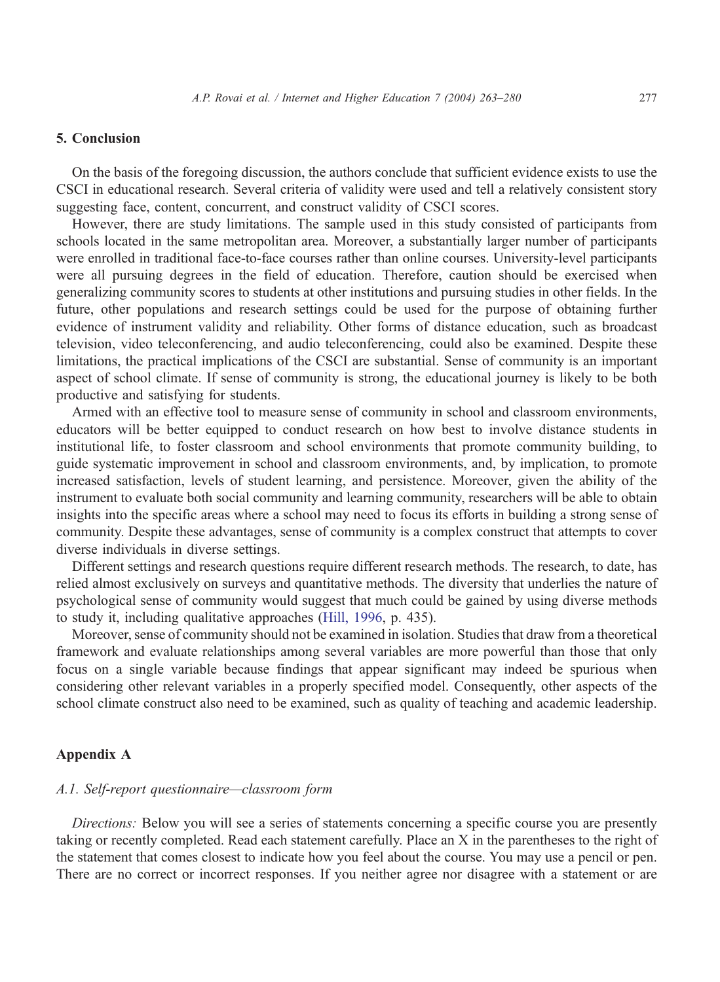## 5. Conclusion

On the basis of the foregoing discussion, the authors conclude that sufficient evidence exists to use the CSCI in educational research. Several criteria of validity were used and tell a relatively consistent story suggesting face, content, concurrent, and construct validity of CSCI scores.

However, there are study limitations. The sample used in this study consisted of participants from schools located in the same metropolitan area. Moreover, a substantially larger number of participants were enrolled in traditional face-to-face courses rather than online courses. University-level participants were all pursuing degrees in the field of education. Therefore, caution should be exercised when generalizing community scores to students at other institutions and pursuing studies in other fields. In the future, other populations and research settings could be used for the purpose of obtaining further evidence of instrument validity and reliability. Other forms of distance education, such as broadcast television, video teleconferencing, and audio teleconferencing, could also be examined. Despite these limitations, the practical implications of the CSCI are substantial. Sense of community is an important aspect of school climate. If sense of community is strong, the educational journey is likely to be both productive and satisfying for students.

Armed with an effective tool to measure sense of community in school and classroom environments, educators will be better equipped to conduct research on how best to involve distance students in institutional life, to foster classroom and school environments that promote community building, to guide systematic improvement in school and classroom environments, and, by implication, to promote increased satisfaction, levels of student learning, and persistence. Moreover, given the ability of the instrument to evaluate both social community and learning community, researchers will be able to obtain insights into the specific areas where a school may need to focus its efforts in building a strong sense of community. Despite these advantages, sense of community is a complex construct that attempts to cover diverse individuals in diverse settings.

Different settings and research questions require different research methods. The research, to date, has relied almost exclusively on surveys and quantitative methods. The diversity that underlies the nature of psychological sense of community would suggest that much could be gained by using diverse methods to study it, including qualitative approaches ([Hill, 1996,](#page-16-0) p. 435).

Moreover, sense of community should not be examined in isolation. Studies that draw from a theoretical framework and evaluate relationships among several variables are more powerful than those that only focus on a single variable because findings that appear significant may indeed be spurious when considering other relevant variables in a properly specified model. Consequently, other aspects of the school climate construct also need to be examined, such as quality of teaching and academic leadership.

# Appendix A

#### A.1. Self-report questionnaire—classroom form

Directions: Below you will see a series of statements concerning a specific course you are presently taking or recently completed. Read each statement carefully. Place an X in the parentheses to the right of the statement that comes closest to indicate how you feel about the course. You may use a pencil or pen. There are no correct or incorrect responses. If you neither agree nor disagree with a statement or are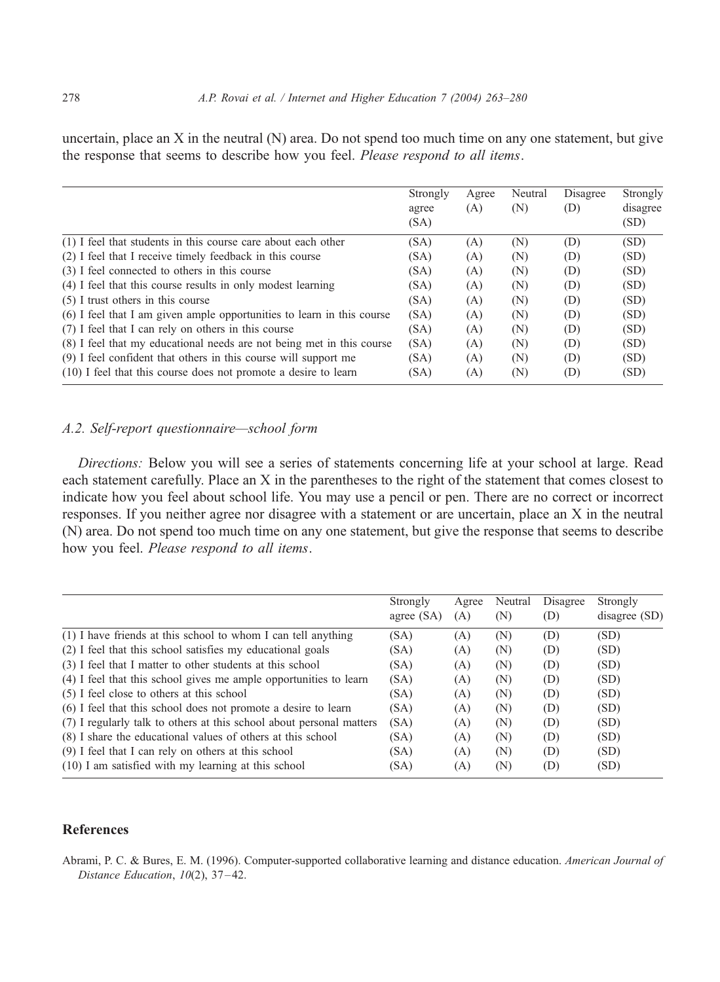<span id="page-15-0"></span>uncertain, place an X in the neutral (N) area. Do not spend too much time on any one statement, but give the response that seems to describe how you feel. Please respond to all items.

|                                                                        | Strongly | Agree | Neutral | Disagree | Strongly |
|------------------------------------------------------------------------|----------|-------|---------|----------|----------|
|                                                                        | agree    | (A)   | (N)     | (D)      | disagree |
|                                                                        | (SA)     |       |         |          | (SD)     |
| (1) I feel that students in this course care about each other          | (SA)     | (A)   | (N)     | (D)      | (SD)     |
| (2) I feel that I receive timely feedback in this course               | (SA)     | (A)   | (N)     | (D)      | (SD)     |
| (3) I feel connected to others in this course                          | (SA)     | (A)   | (N)     | (D)      | (SD)     |
| (4) I feel that this course results in only modest learning            | (SA)     | (A)   | (N)     | (D)      | (SD)     |
| $(5)$ I trust others in this course                                    | (SA)     | (A)   | (N)     | (D)      | (SD)     |
| (6) I feel that I am given ample opportunities to learn in this course | (SA)     | (A)   | (N)     | (D)      | (SD)     |
| (7) I feel that I can rely on others in this course                    | (SA)     | (A)   | (N)     | (D)      | (SD)     |
| (8) I feel that my educational needs are not being met in this course  | (SA)     | (A)   | (N)     | (D)      | (SD)     |
| (9) I feel confident that others in this course will support me        | (SA)     | (A)   | (N)     | (D)      | (SD)     |
| (10) I feel that this course does not promote a desire to learn        | (SA)     | (A)   | (N)     | (D)      | (SD)     |

# A.2. Self-report questionnaire—school form

Directions: Below you will see a series of statements concerning life at your school at large. Read each statement carefully. Place an X in the parentheses to the right of the statement that comes closest to indicate how you feel about school life. You may use a pencil or pen. There are no correct or incorrect responses. If you neither agree nor disagree with a statement or are uncertain, place an X in the neutral (N) area. Do not spend too much time on any one statement, but give the response that seems to describe how you feel. Please respond to all items.

|                                                                      | Strongly   | Agree | Neutral | Disagree | Strongly      |
|----------------------------------------------------------------------|------------|-------|---------|----------|---------------|
|                                                                      | agree (SA) | (A)   | (N)     | (D)      | disagree (SD) |
| $(1)$ I have friends at this school to whom I can tell anything      | (SA)       | (A)   | (N)     | (D)      | (SD)          |
| (2) I feel that this school satisfies my educational goals           | (SA)       | (A)   | (N)     | (D)      | (SD)          |
| (3) I feel that I matter to other students at this school            | (SA)       | (A)   | (N)     | (D)      | (SD)          |
| (4) I feel that this school gives me ample opportunities to learn    | (SA)       | (A)   | (N)     | (D)      | (SD)          |
| (5) I feel close to others at this school                            | (SA)       | (A)   | (N)     | (D)      | (SD)          |
| (6) I feel that this school does not promote a desire to learn       | (SA)       | (A)   | (N)     | (D)      | (SD)          |
| (7) I regularly talk to others at this school about personal matters | (SA)       | (A)   | (N)     | (D)      | (SD)          |
| (8) I share the educational values of others at this school          | (SA)       | (A)   | (N)     | (D)      | (SD)          |
| (9) I feel that I can rely on others at this school                  | (SA)       | (A)   | (N)     | (D)      | (SD)          |
| $(10)$ I am satisfied with my learning at this school                | (SA)       | (A)   | (N)     | (D)      | (SD)          |

## References

Abrami, P. C. & Bures, E. M. (1996). Computer-supported collaborative learning and distance education. American Journal of Distance Education, 10(2), 37-42.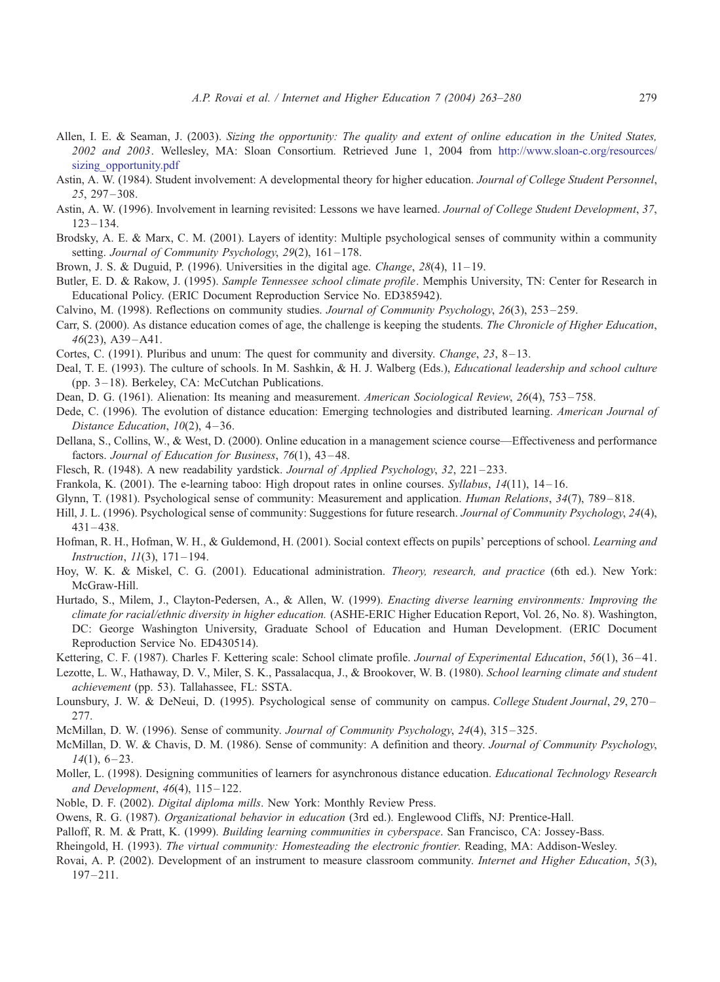- <span id="page-16-0"></span>Allen, I. E. & Seaman, J. (2003). Sizing the opportunity: The quality and extent of online education in the United States, 2002 and 2003. Wellesley, MA: Sloan Consortium. Retrieved June 1, 2004 from [http://www.sloan-c.org/resources/](http://www.sloan%1Ec.org/resources/sizing_opportunity.pdf) sizing opportunity.pdf
- Astin, A. W. (1984). Student involvement: A developmental theory for higher education. Journal of College Student Personnel, 25, 297 – 308.
- Astin, A. W. (1996). Involvement in learning revisited: Lessons we have learned. Journal of College Student Development, 37,  $123 - 134$ .
- Brodsky, A. E. & Marx, C. M. (2001). Layers of identity: Multiple psychological senses of community within a community setting. Journal of Community Psychology, 29(2), 161-178.
- Brown, J. S. & Duguid, P. (1996). Universities in the digital age. Change,  $28(4)$ ,  $11-19$ .
- Butler, E. D. & Rakow, J. (1995). Sample Tennessee school climate profile. Memphis University, TN: Center for Research in Educational Policy. (ERIC Document Reproduction Service No. ED385942).
- Calvino, M. (1998). Reflections on community studies. Journal of Community Psychology, 26(3), 253 259.
- Carr, S. (2000). As distance education comes of age, the challenge is keeping the students. The Chronicle of Higher Education,  $46(23)$ , A39-A41.
- Cortes, C. (1991). Pluribus and unum: The quest for community and diversity. *Change*,  $23$ ,  $8-13$ .
- Deal, T. E. (1993). The culture of schools. In M. Sashkin, & H. J. Walberg (Eds.), Educational leadership and school culture (pp. 3-18). Berkeley, CA: McCutchan Publications.
- Dean, D. G. (1961). Alienation: Its meaning and measurement. American Sociological Review, 26(4), 753–758.
- Dede, C. (1996). The evolution of distance education: Emerging technologies and distributed learning. American Journal of Distance Education, 10(2), 4-36.
- Dellana, S., Collins, W., & West, D. (2000). Online education in a management science course—Effectiveness and performance factors. Journal of Education for Business, 76(1), 43-48.
- Flesch, R. (1948). A new readability yardstick. Journal of Applied Psychology, 32, 221–233.
- Frankola, K. (2001). The e-learning taboo: High dropout rates in online courses. Syllabus, 14(11), 14–16.
- Glynn, T. (1981). Psychological sense of community: Measurement and application. *Human Relations*, 34(7), 789–818.
- Hill, J. L. (1996). Psychological sense of community: Suggestions for future research. Journal of Community Psychology, 24(4),  $431 - 438$ .
- Hofman, R. H., Hofman, W. H., & Guldemond, H. (2001). Social context effects on pupils' perceptions of school. Learning and Instruction, 11(3), 171 – 194.
- Hoy, W. K. & Miskel, C. G. (2001). Educational administration. Theory, research, and practice (6th ed.). New York: McGraw-Hill.
- Hurtado, S., Milem, J., Clayton-Pedersen, A., & Allen, W. (1999). Enacting diverse learning environments: Improving the climate for racial/ethnic diversity in higher education. (ASHE-ERIC Higher Education Report, Vol. 26, No. 8). Washington, DC: George Washington University, Graduate School of Education and Human Development. (ERIC Document Reproduction Service No. ED430514).
- Kettering, C. F. (1987). Charles F. Kettering scale: School climate profile. Journal of Experimental Education, 56(1), 36–41.
- Lezotte, L. W., Hathaway, D. V., Miler, S. K., Passalacqua, J., & Brookover, W. B. (1980). School learning climate and student achievement (pp. 53). Tallahassee, FL: SSTA.
- Lounsbury, J. W. & DeNeui, D. (1995). Psychological sense of community on campus. College Student Journal, 29, 270– 277.
- McMillan, D. W. (1996). Sense of community. Journal of Community Psychology, 24(4), 315 325.
- McMillan, D. W. & Chavis, D. M. (1986). Sense of community: A definition and theory. Journal of Community Psychology,  $14(1)$ , 6-23.
- Moller, L. (1998). Designing communities of learners for asynchronous distance education. Educational Technology Research and Development,  $46(4)$ ,  $115-122$ .
- Noble, D. F. (2002). *Digital diploma mills*. New York: Monthly Review Press.
- Owens, R. G. (1987). Organizational behavior in education (3rd ed.). Englewood Cliffs, NJ: Prentice-Hall.
- Palloff, R. M. & Pratt, K. (1999). Building learning communities in cyberspace. San Francisco, CA: Jossey-Bass.
- Rheingold, H. (1993). The virtual community: Homesteading the electronic frontier. Reading, MA: Addison-Wesley.
- Rovai, A. P. (2002). Development of an instrument to measure classroom community. *Internet and Higher Education*, 5(3),  $197 - 211.$